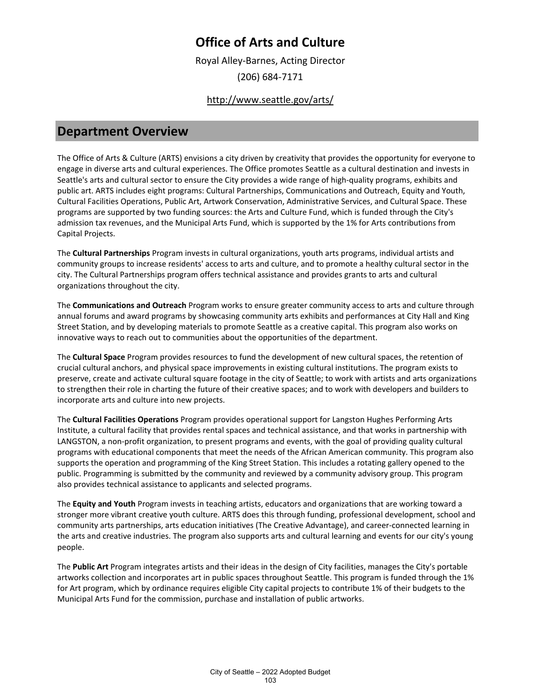Royal Alley-Barnes, Acting Director (206) 684-7171

### <http://www.seattle.gov/arts/>

### **Department Overview**

The Office of Arts & Culture (ARTS) envisions a city driven by creativity that provides the opportunity for everyone to engage in diverse arts and cultural experiences. The Office promotes Seattle as a cultural destination and invests in Seattle's arts and cultural sector to ensure the City provides a wide range of high-quality programs, exhibits and public art. ARTS includes eight programs: Cultural Partnerships, Communications and Outreach, Equity and Youth, Cultural Facilities Operations, Public Art, Artwork Conservation, Administrative Services, and Cultural Space. These programs are supported by two funding sources: the Arts and Culture Fund, which is funded through the City's admission tax revenues, and the Municipal Arts Fund, which is supported by the 1% for Arts contributions from Capital Projects.

The **Cultural Partnerships** Program invests in cultural organizations, youth arts programs, individual artists and community groups to increase residents' access to arts and culture, and to promote a healthy cultural sector in the city. The Cultural Partnerships program offers technical assistance and provides grants to arts and cultural organizations throughout the city.

The **Communications and Outreach** Program works to ensure greater community access to arts and culture through annual forums and award programs by showcasing community arts exhibits and performances at City Hall and King Street Station, and by developing materials to promote Seattle as a creative capital. This program also works on innovative ways to reach out to communities about the opportunities of the department.

The **Cultural Space** Program provides resources to fund the development of new cultural spaces, the retention of crucial cultural anchors, and physical space improvements in existing cultural institutions. The program exists to preserve, create and activate cultural square footage in the city of Seattle; to work with artists and arts organizations to strengthen their role in charting the future of their creative spaces; and to work with developers and builders to incorporate arts and culture into new projects.

The **Cultural Facilities Operations** Program provides operational support for Langston Hughes Performing Arts Institute, a cultural facility that provides rental spaces and technical assistance, and that works in partnership with LANGSTON, a non-profit organization, to present programs and events, with the goal of providing quality cultural programs with educational components that meet the needs of the African American community. This program also supports the operation and programming of the King Street Station. This includes a rotating gallery opened to the public. Programming is submitted by the community and reviewed by a community advisory group. This program also provides technical assistance to applicants and selected programs.

The **Equity and Youth** Program invests in teaching artists, educators and organizations that are working toward a stronger more vibrant creative youth culture. ARTS does this through funding, professional development, school and community arts partnerships, arts education initiatives (The Creative Advantage), and career-connected learning in the arts and creative industries. The program also supports arts and cultural learning and events for our city's young people.

The **Public Art** Program integrates artists and their ideas in the design of City facilities, manages the City's portable artworks collection and incorporates art in public spaces throughout Seattle. This program is funded through the 1% for Art program, which by ordinance requires eligible City capital projects to contribute 1% of their budgets to the Municipal Arts Fund for the commission, purchase and installation of public artworks.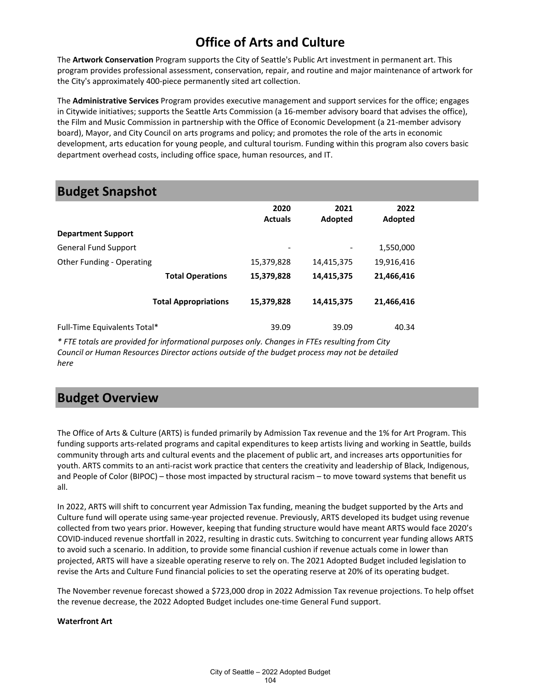The **Artwork Conservation** Program supports the City of Seattle's Public Art investment in permanent art. This program provides professional assessment, conservation, repair, and routine and major maintenance of artwork for the City's approximately 400-piece permanently sited art collection.

The **Administrative Services** Program provides executive management and support services for the office; engages in Citywide initiatives; supports the Seattle Arts Commission (a 16-member advisory board that advises the office), the Film and Music Commission in partnership with the Office of Economic Development (a 21-member advisory board), Mayor, and City Council on arts programs and policy; and promotes the role of the arts in economic development, arts education for young people, and cultural tourism. Funding within this program also covers basic department overhead costs, including office space, human resources, and IT.

### **Budget Snapshot**

|                              | 2020<br><b>Actuals</b> | 2021<br>Adopted | 2022<br>Adopted |  |
|------------------------------|------------------------|-----------------|-----------------|--|
| <b>Department Support</b>    |                        |                 |                 |  |
| <b>General Fund Support</b>  | -                      |                 | 1,550,000       |  |
| Other Funding - Operating    | 15,379,828             | 14,415,375      | 19,916,416      |  |
| <b>Total Operations</b>      | 15,379,828             | 14,415,375      | 21,466,416      |  |
| <b>Total Appropriations</b>  | 15,379,828             | 14,415,375      | 21,466,416      |  |
| Full-Time Equivalents Total* | 39.09                  | 39.09           | 40.34           |  |

*\* FTE totals are provided for informational purposes only. Changes in FTEs resulting from City Council or Human Resources Director actions outside of the budget process may not be detailed here*

### **Budget Overview**

The Office of Arts & Culture (ARTS) is funded primarily by Admission Tax revenue and the 1% for Art Program. This funding supports arts-related programs and capital expenditures to keep artists living and working in Seattle, builds community through arts and cultural events and the placement of public art, and increases arts opportunities for youth. ARTS commits to an anti-racist work practice that centers the creativity and leadership of Black, Indigenous, and People of Color (BIPOC) – those most impacted by structural racism – to move toward systems that benefit us all.

In 2022, ARTS will shift to concurrent year Admission Tax funding, meaning the budget supported by the Arts and Culture fund will operate using same-year projected revenue. Previously, ARTS developed its budget using revenue collected from two years prior. However, keeping that funding structure would have meant ARTS would face 2020's COVID-induced revenue shortfall in 2022, resulting in drastic cuts. Switching to concurrent year funding allows ARTS to avoid such a scenario. In addition, to provide some financial cushion if revenue actuals come in lower than projected, ARTS will have a sizeable operating reserve to rely on. The 2021 Adopted Budget included legislation to revise the Arts and Culture Fund financial policies to set the operating reserve at 20% of its operating budget.

The November revenue forecast showed a \$723,000 drop in 2022 Admission Tax revenue projections. To help offset the revenue decrease, the 2022 Adopted Budget includes one-time General Fund support.

#### **Waterfront Art**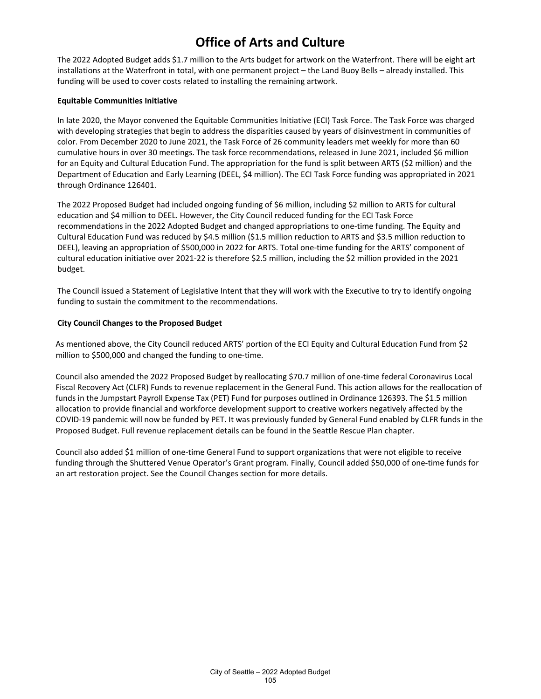The 2022 Adopted Budget adds \$1.7 million to the Arts budget for artwork on the Waterfront. There will be eight art installations at the Waterfront in total, with one permanent project – the Land Buoy Bells – already installed. This funding will be used to cover costs related to installing the remaining artwork.

#### **Equitable Communities Initiative**

In late 2020, the Mayor convened the Equitable Communities Initiative (ECI) Task Force. The Task Force was charged with developing strategies that begin to address the disparities caused by years of disinvestment in communities of color. From December 2020 to June 2021, the Task Force of 26 community leaders met weekly for more than 60 cumulative hours in over 30 meetings. The task force recommendations, released in June 2021, included \$6 million for an Equity and Cultural Education Fund. The appropriation for the fund is split between ARTS (\$2 million) and the Department of Education and Early Learning (DEEL, \$4 million). The ECI Task Force funding was appropriated in 2021 through Ordinance 126401.

The 2022 Proposed Budget had included ongoing funding of \$6 million, including \$2 million to ARTS for cultural education and \$4 million to DEEL. However, the City Council reduced funding for the ECI Task Force recommendations in the 2022 Adopted Budget and changed appropriations to one-time funding. The Equity and Cultural Education Fund was reduced by \$4.5 million (\$1.5 million reduction to ARTS and \$3.5 million reduction to DEEL), leaving an appropriation of \$500,000 in 2022 for ARTS. Total one-time funding for the ARTS' component of cultural education initiative over 2021-22 is therefore \$2.5 million, including the \$2 million provided in the 2021 budget.

The Council issued a Statement of Legislative Intent that they will work with the Executive to try to identify ongoing funding to sustain the commitment to the recommendations.

#### **City Council Changes to the Proposed Budget**

As mentioned above, the City Council reduced ARTS' portion of the ECI Equity and Cultural Education Fund from \$2 million to \$500,000 and changed the funding to one-time.

Council also amended the 2022 Proposed Budget by reallocating \$70.7 million of one-time federal Coronavirus Local Fiscal Recovery Act (CLFR) Funds to revenue replacement in the General Fund. This action allows for the reallocation of funds in the Jumpstart Payroll Expense Tax (PET) Fund for purposes outlined in Ordinance 126393. The \$1.5 million allocation to provide financial and workforce development support to creative workers negatively affected by the COVID-19 pandemic will now be funded by PET. It was previously funded by General Fund enabled by CLFR funds in the Proposed Budget. Full revenue replacement details can be found in the Seattle Rescue Plan chapter.

Council also added \$1 million of one-time General Fund to support organizations that were not eligible to receive funding through the Shuttered Venue Operator's Grant program. Finally, Council added \$50,000 of one-time funds for an art restoration project. See the Council Changes section for more details.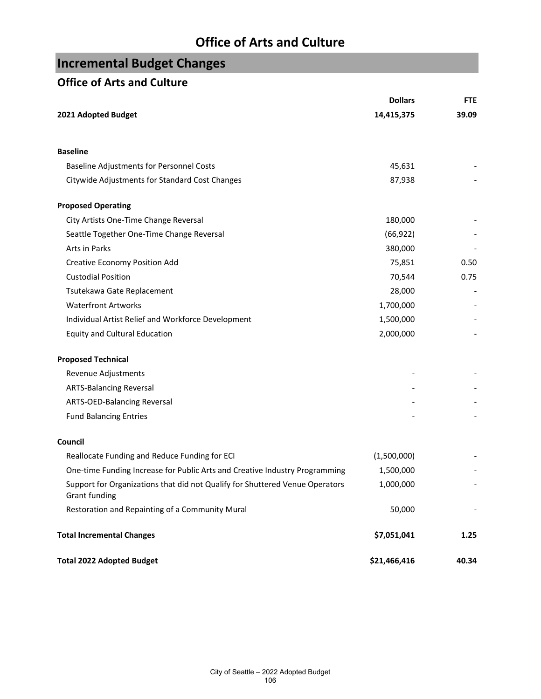# **Incremental Budget Changes**

### **Office of Arts and Culture**

|                                                                                                      | <b>Dollars</b> | <b>FTE</b> |
|------------------------------------------------------------------------------------------------------|----------------|------------|
| 2021 Adopted Budget                                                                                  | 14,415,375     | 39.09      |
| <b>Baseline</b>                                                                                      |                |            |
| <b>Baseline Adjustments for Personnel Costs</b>                                                      | 45,631         |            |
| Citywide Adjustments for Standard Cost Changes                                                       | 87,938         |            |
| <b>Proposed Operating</b>                                                                            |                |            |
| City Artists One-Time Change Reversal                                                                | 180,000        |            |
| Seattle Together One-Time Change Reversal                                                            | (66, 922)      |            |
| Arts in Parks                                                                                        | 380,000        |            |
| <b>Creative Economy Position Add</b>                                                                 | 75,851         | 0.50       |
| <b>Custodial Position</b>                                                                            | 70,544         | 0.75       |
| Tsutekawa Gate Replacement                                                                           | 28,000         |            |
| <b>Waterfront Artworks</b>                                                                           | 1,700,000      |            |
| Individual Artist Relief and Workforce Development                                                   | 1,500,000      |            |
| <b>Equity and Cultural Education</b>                                                                 | 2,000,000      |            |
| <b>Proposed Technical</b>                                                                            |                |            |
| Revenue Adjustments                                                                                  |                |            |
| <b>ARTS-Balancing Reversal</b>                                                                       |                |            |
| ARTS-OED-Balancing Reversal                                                                          |                |            |
| <b>Fund Balancing Entries</b>                                                                        |                |            |
| Council                                                                                              |                |            |
| Reallocate Funding and Reduce Funding for ECI                                                        | (1,500,000)    |            |
| One-time Funding Increase for Public Arts and Creative Industry Programming                          | 1,500,000      |            |
| Support for Organizations that did not Qualify for Shuttered Venue Operators<br><b>Grant funding</b> | 1,000,000      |            |
| Restoration and Repainting of a Community Mural                                                      | 50,000         |            |
| <b>Total Incremental Changes</b>                                                                     | \$7,051,041    | 1.25       |
| <b>Total 2022 Adopted Budget</b>                                                                     | \$21,466,416   | 40.34      |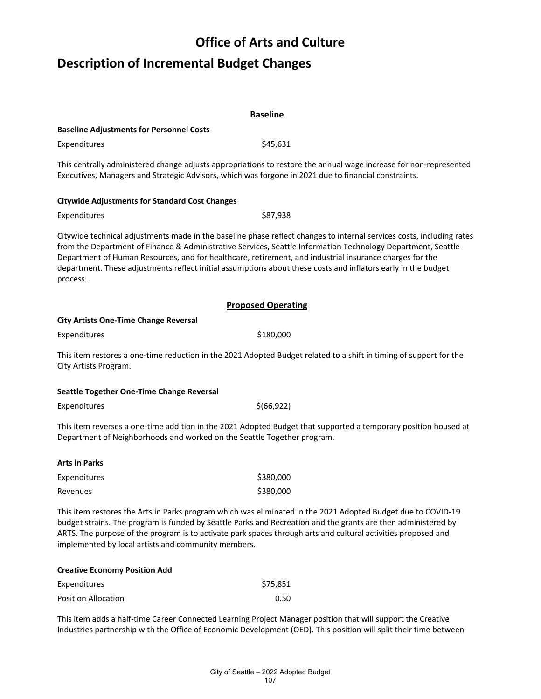# **Description of Incremental Budget Changes**

|                                                                                                                     | <b>Baseline</b>                                                                                                                                                                                                                                                                                                                                        |
|---------------------------------------------------------------------------------------------------------------------|--------------------------------------------------------------------------------------------------------------------------------------------------------------------------------------------------------------------------------------------------------------------------------------------------------------------------------------------------------|
| <b>Baseline Adjustments for Personnel Costs</b>                                                                     |                                                                                                                                                                                                                                                                                                                                                        |
| Expenditures                                                                                                        | \$45,631                                                                                                                                                                                                                                                                                                                                               |
| Executives, Managers and Strategic Advisors, which was forgone in 2021 due to financial constraints.                | This centrally administered change adjusts appropriations to restore the annual wage increase for non-represented                                                                                                                                                                                                                                      |
| <b>Citywide Adjustments for Standard Cost Changes</b>                                                               |                                                                                                                                                                                                                                                                                                                                                        |
| Expenditures                                                                                                        | \$87,938                                                                                                                                                                                                                                                                                                                                               |
| Department of Human Resources, and for healthcare, retirement, and industrial insurance charges for the<br>process. | Citywide technical adjustments made in the baseline phase reflect changes to internal services costs, including rates<br>from the Department of Finance & Administrative Services, Seattle Information Technology Department, Seattle<br>department. These adjustments reflect initial assumptions about these costs and inflators early in the budget |
|                                                                                                                     | <b>Proposed Operating</b>                                                                                                                                                                                                                                                                                                                              |
| <b>City Artists One-Time Change Reversal</b>                                                                        |                                                                                                                                                                                                                                                                                                                                                        |
| Expenditures                                                                                                        | \$180,000                                                                                                                                                                                                                                                                                                                                              |
| City Artists Program.                                                                                               | This item restores a one-time reduction in the 2021 Adopted Budget related to a shift in timing of support for the                                                                                                                                                                                                                                     |
| Seattle Together One-Time Change Reversal                                                                           |                                                                                                                                                                                                                                                                                                                                                        |
| Expenditures                                                                                                        | \$(66, 922)                                                                                                                                                                                                                                                                                                                                            |
| Department of Neighborhoods and worked on the Seattle Together program.                                             | This item reverses a one-time addition in the 2021 Adopted Budget that supported a temporary position housed at                                                                                                                                                                                                                                        |
| <b>Arts in Parks</b>                                                                                                |                                                                                                                                                                                                                                                                                                                                                        |
| Expenditures                                                                                                        | \$380,000                                                                                                                                                                                                                                                                                                                                              |
| Revenues                                                                                                            | \$380,000                                                                                                                                                                                                                                                                                                                                              |
| implemented by local artists and community members.                                                                 | This item restores the Arts in Parks program which was eliminated in the 2021 Adopted Budget due to COVID-19<br>budget strains. The program is funded by Seattle Parks and Recreation and the grants are then administered by<br>ARTS. The purpose of the program is to activate park spaces through arts and cultural activities proposed and         |

| <b>Creative Economy Position Add</b> |          |
|--------------------------------------|----------|
| Expenditures                         | \$75,851 |
| <b>Position Allocation</b>           | 0.50     |

This item adds a half-time Career Connected Learning Project Manager position that will support the Creative Industries partnership with the Office of Economic Development (OED). This position will split their time between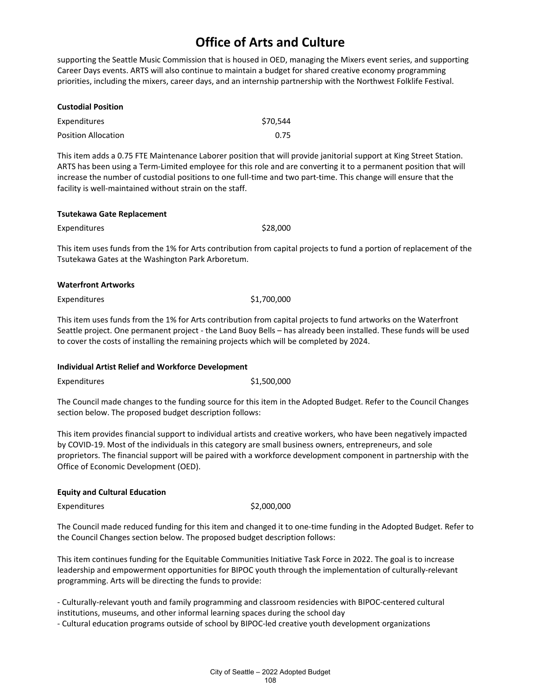supporting the Seattle Music Commission that is housed in OED, managing the Mixers event series, and supporting Career Days events. ARTS will also continue to maintain a budget for shared creative economy programming priorities, including the mixers, career days, and an internship partnership with the Northwest Folklife Festival.

| <b>Custodial Position</b>  |          |
|----------------------------|----------|
| Expenditures               | \$70.544 |
| <b>Position Allocation</b> | 0.75     |

This item adds a 0.75 FTE Maintenance Laborer position that will provide janitorial support at King Street Station. ARTS has been using a Term-Limited employee for this role and are converting it to a permanent position that will increase the number of custodial positions to one full-time and two part-time. This change will ensure that the facility is well-maintained without strain on the staff.

#### **Tsutekawa Gate Replacement**

Expenditures \$28,000

This item uses funds from the 1% for Arts contribution from capital projects to fund a portion of replacement of the Tsutekawa Gates at the Washington Park Arboretum.

#### **Waterfront Artworks**

#### Expenditures \$1,700,000

This item uses funds from the 1% for Arts contribution from capital projects to fund artworks on the Waterfront Seattle project. One permanent project - the Land Buoy Bells – has already been installed. These funds will be used to cover the costs of installing the remaining projects which will be completed by 2024.

#### **Individual Artist Relief and Workforce Development**

Expenditures \$1,500,000

The Council made changes to the funding source for this item in the Adopted Budget. Refer to the Council Changes section below. The proposed budget description follows:

This item provides financial support to individual artists and creative workers, who have been negatively impacted by COVID-19. Most of the individuals in this category are small business owners, entrepreneurs, and sole proprietors. The financial support will be paired with a workforce development component in partnership with the Office of Economic Development (OED).

#### **Equity and Cultural Education**

Expenditures \$2,000,000

The Council made reduced funding for this item and changed it to one-time funding in the Adopted Budget. Refer to the Council Changes section below. The proposed budget description follows:

This item continues funding for the Equitable Communities Initiative Task Force in 2022. The goal is to increase leadership and empowerment opportunities for BIPOC youth through the implementation of culturally-relevant programming. Arts will be directing the funds to provide:

- Culturally-relevant youth and family programming and classroom residencies with BIPOC-centered cultural institutions, museums, and other informal learning spaces during the school day

- Cultural education programs outside of school by BIPOC-led creative youth development organizations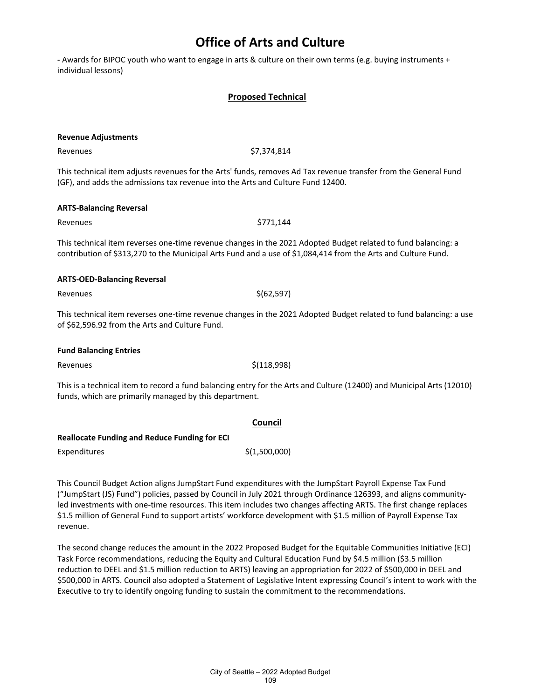- Awards for BIPOC youth who want to engage in arts & culture on their own terms (e.g. buying instruments + individual lessons)

#### **Proposed Technical**

| <b>Revenue Adjustments</b>                                                                                                                                          |                                                                                                                                                                                                                                |  |  |
|---------------------------------------------------------------------------------------------------------------------------------------------------------------------|--------------------------------------------------------------------------------------------------------------------------------------------------------------------------------------------------------------------------------|--|--|
| Revenues                                                                                                                                                            | \$7,374,814                                                                                                                                                                                                                    |  |  |
| (GF), and adds the admissions tax revenue into the Arts and Culture Fund 12400.                                                                                     | This technical item adjusts revenues for the Arts' funds, removes Ad Tax revenue transfer from the General Fund                                                                                                                |  |  |
| <b>ARTS-Balancing Reversal</b>                                                                                                                                      |                                                                                                                                                                                                                                |  |  |
| Revenues                                                                                                                                                            | \$771,144                                                                                                                                                                                                                      |  |  |
|                                                                                                                                                                     | This technical item reverses one-time revenue changes in the 2021 Adopted Budget related to fund balancing: a<br>contribution of \$313,270 to the Municipal Arts Fund and a use of \$1,084,414 from the Arts and Culture Fund. |  |  |
| <b>ARTS-OED-Balancing Reversal</b>                                                                                                                                  |                                                                                                                                                                                                                                |  |  |
| Revenues                                                                                                                                                            | \$(62, 597)                                                                                                                                                                                                                    |  |  |
| This technical item reverses one-time revenue changes in the 2021 Adopted Budget related to fund balancing: a use<br>of \$62,596.92 from the Arts and Culture Fund. |                                                                                                                                                                                                                                |  |  |
| <b>Fund Balancing Entries</b>                                                                                                                                       |                                                                                                                                                                                                                                |  |  |
| Revenues                                                                                                                                                            | \$(118,998)                                                                                                                                                                                                                    |  |  |
| funds, which are primarily managed by this department.                                                                                                              | This is a technical item to record a fund balancing entry for the Arts and Culture (12400) and Municipal Arts (12010)                                                                                                          |  |  |
|                                                                                                                                                                     | Council                                                                                                                                                                                                                        |  |  |
| <b>Reallocate Funding and Reduce Funding for ECI</b><br>Expenditures                                                                                                | \$(1,500,000)                                                                                                                                                                                                                  |  |  |

This Council Budget Action aligns JumpStart Fund expenditures with the JumpStart Payroll Expense Tax Fund ("JumpStart (JS) Fund") policies, passed by Council in July 2021 through Ordinance 126393, and aligns communityled investments with one-time resources. This item includes two changes affecting ARTS. The first change replaces \$1.5 million of General Fund to support artists' workforce development with \$1.5 million of Payroll Expense Tax revenue.

The second change reduces the amount in the 2022 Proposed Budget for the Equitable Communities Initiative (ECI) Task Force recommendations, reducing the Equity and Cultural Education Fund by \$4.5 million (\$3.5 million reduction to DEEL and \$1.5 million reduction to ARTS) leaving an appropriation for 2022 of \$500,000 in DEEL and \$500,000 in ARTS. Council also adopted a Statement of Legislative Intent expressing Council's intent to work with the Executive to try to identify ongoing funding to sustain the commitment to the recommendations.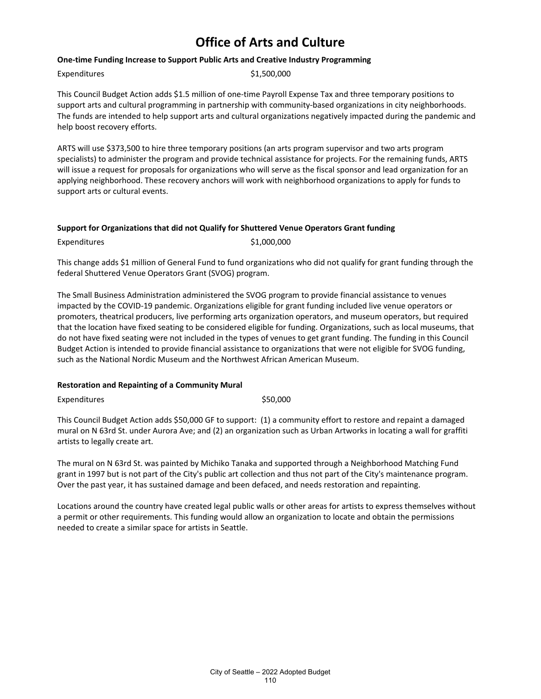#### **One-time Funding Increase to Support Public Arts and Creative Industry Programming**

Expenditures \$1,500,000

This Council Budget Action adds \$1.5 million of one-time Payroll Expense Tax and three temporary positions to support arts and cultural programming in partnership with community-based organizations in city neighborhoods. The funds are intended to help support arts and cultural organizations negatively impacted during the pandemic and help boost recovery efforts.

ARTS will use \$373,500 to hire three temporary positions (an arts program supervisor and two arts program specialists) to administer the program and provide technical assistance for projects. For the remaining funds, ARTS will issue a request for proposals for organizations who will serve as the fiscal sponsor and lead organization for an applying neighborhood. These recovery anchors will work with neighborhood organizations to apply for funds to support arts or cultural events.

#### **Support for Organizations that did not Qualify for Shuttered Venue Operators Grant funding**

Expenditures \$1,000,000

This change adds \$1 million of General Fund to fund organizations who did not qualify for grant funding through the federal Shuttered Venue Operators Grant (SVOG) program.

The Small Business Administration administered the SVOG program to provide financial assistance to venues impacted by the COVID-19 pandemic. Organizations eligible for grant funding included live venue operators or promoters, theatrical producers, live performing arts organization operators, and museum operators, but required that the location have fixed seating to be considered eligible for funding. Organizations, such as local museums, that do not have fixed seating were not included in the types of venues to get grant funding. The funding in this Council Budget Action is intended to provide financial assistance to organizations that were not eligible for SVOG funding, such as the National Nordic Museum and the Northwest African American Museum.

#### **Restoration and Repainting of a Community Mural**

Expenditures \$50,000

This Council Budget Action adds \$50,000 GF to support: (1) a community effort to restore and repaint a damaged mural on N 63rd St. under Aurora Ave; and (2) an organization such as Urban Artworks in locating a wall for graffiti artists to legally create art.

The mural on N 63rd St. was painted by Michiko Tanaka and supported through a Neighborhood Matching Fund grant in 1997 but is not part of the City's public art collection and thus not part of the City's maintenance program. Over the past year, it has sustained damage and been defaced, and needs restoration and repainting.

Locations around the country have created legal public walls or other areas for artists to express themselves without a permit or other requirements. This funding would allow an organization to locate and obtain the permissions needed to create a similar space for artists in Seattle.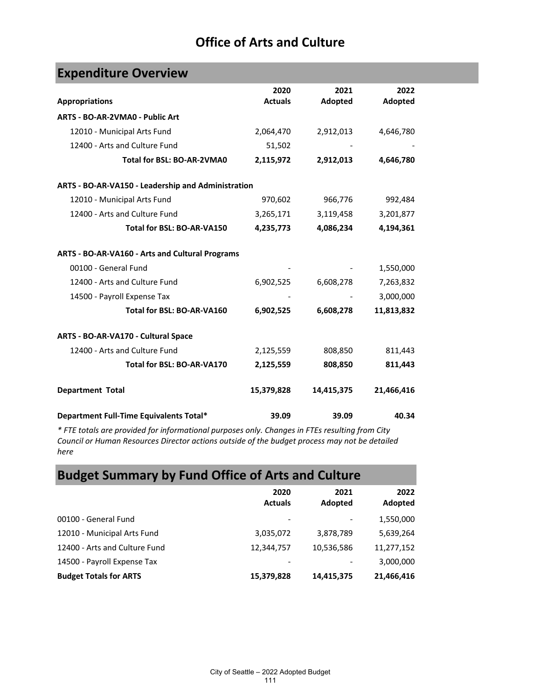| <b>Expenditure Overview</b>                                                                        |                |            |            |  |
|----------------------------------------------------------------------------------------------------|----------------|------------|------------|--|
|                                                                                                    | 2020           | 2021       | 2022       |  |
| <b>Appropriations</b>                                                                              | <b>Actuals</b> | Adopted    | Adopted    |  |
| ARTS - BO-AR-2VMA0 - Public Art                                                                    |                |            |            |  |
| 12010 - Municipal Arts Fund                                                                        | 2,064,470      | 2,912,013  | 4,646,780  |  |
| 12400 - Arts and Culture Fund                                                                      | 51,502         |            |            |  |
| Total for BSL: BO-AR-2VMA0                                                                         | 2,115,972      | 2,912,013  | 4,646,780  |  |
| ARTS - BO-AR-VA150 - Leadership and Administration                                                 |                |            |            |  |
| 12010 - Municipal Arts Fund                                                                        | 970,602        | 966,776    | 992,484    |  |
| 12400 - Arts and Culture Fund                                                                      | 3,265,171      | 3,119,458  | 3,201,877  |  |
| Total for BSL: BO-AR-VA150                                                                         | 4,235,773      | 4,086,234  | 4,194,361  |  |
| ARTS - BO-AR-VA160 - Arts and Cultural Programs                                                    |                |            |            |  |
| 00100 - General Fund                                                                               |                |            | 1,550,000  |  |
| 12400 - Arts and Culture Fund                                                                      | 6,902,525      | 6,608,278  | 7,263,832  |  |
| 14500 - Payroll Expense Tax                                                                        |                |            | 3,000,000  |  |
| Total for BSL: BO-AR-VA160                                                                         | 6,902,525      | 6,608,278  | 11,813,832 |  |
| ARTS - BO-AR-VA170 - Cultural Space                                                                |                |            |            |  |
| 12400 - Arts and Culture Fund                                                                      | 2,125,559      | 808,850    | 811,443    |  |
| Total for BSL: BO-AR-VA170                                                                         | 2,125,559      | 808,850    | 811,443    |  |
| <b>Department Total</b>                                                                            | 15,379,828     | 14,415,375 | 21,466,416 |  |
| Department Full-Time Equivalents Total*                                                            | 39.09          | 39.09      | 40.34      |  |
| $*$ ETE totals are provided for informational nursesses only. Changes in ETEs resulting from City. |                |            |            |  |

*\* FTE totals are provided for informational purposes only. Changes in FTEs resulting from City Council or Human Resources Director actions outside of the budget process may not be detailed here*

# **Budget Summary by Fund Office of Arts and Culture**

|                               | 2020<br><b>Actuals</b> | 2021<br>Adopted | 2022<br>Adopted |
|-------------------------------|------------------------|-----------------|-----------------|
| 00100 - General Fund          |                        |                 | 1,550,000       |
| 12010 - Municipal Arts Fund   | 3,035,072              | 3,878,789       | 5,639,264       |
| 12400 - Arts and Culture Fund | 12,344,757             | 10,536,586      | 11,277,152      |
| 14500 - Payroll Expense Tax   |                        |                 | 3,000,000       |
| <b>Budget Totals for ARTS</b> | 15,379,828             | 14,415,375      | 21,466,416      |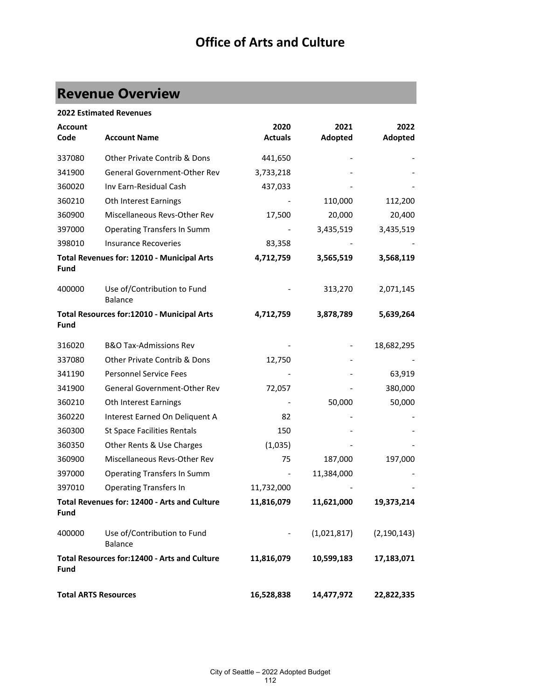# **Revenue Overview**

|                             | <b>2022 Estimated Revenues</b>                |                |             |               |
|-----------------------------|-----------------------------------------------|----------------|-------------|---------------|
| <b>Account</b>              |                                               | 2020           | 2021        | 2022          |
| Code                        | <b>Account Name</b>                           | <b>Actuals</b> | Adopted     | Adopted       |
| 337080                      | <b>Other Private Contrib &amp; Dons</b>       | 441,650        |             |               |
| 341900                      | <b>General Government-Other Rev</b>           | 3,733,218      |             |               |
| 360020                      | Inv Earn-Residual Cash                        | 437,033        |             |               |
| 360210                      | Oth Interest Earnings                         |                | 110,000     | 112,200       |
| 360900                      | Miscellaneous Revs-Other Rev                  | 17,500         | 20,000      | 20,400        |
| 397000                      | <b>Operating Transfers In Summ</b>            |                | 3,435,519   | 3,435,519     |
| 398010                      | <b>Insurance Recoveries</b>                   | 83,358         |             |               |
| Fund                        | Total Revenues for: 12010 - Municipal Arts    | 4,712,759      | 3,565,519   | 3,568,119     |
| 400000                      | Use of/Contribution to Fund<br><b>Balance</b> |                | 313,270     | 2,071,145     |
| <b>Fund</b>                 | Total Resources for:12010 - Municipal Arts    | 4,712,759      | 3,878,789   | 5,639,264     |
| 316020                      | <b>B&amp;O Tax-Admissions Rev</b>             |                |             | 18,682,295    |
| 337080                      | Other Private Contrib & Dons                  | 12,750         |             |               |
| 341190                      | <b>Personnel Service Fees</b>                 |                |             | 63,919        |
| 341900                      | General Government-Other Rev                  | 72,057         |             | 380,000       |
| 360210                      | Oth Interest Earnings                         |                | 50,000      | 50,000        |
| 360220                      | Interest Earned On Deliquent A                | 82             |             |               |
| 360300                      | <b>St Space Facilities Rentals</b>            | 150            |             |               |
| 360350                      | Other Rents & Use Charges                     | (1,035)        |             |               |
| 360900                      | Miscellaneous Revs-Other Rev                  | 75             | 187,000     | 197,000       |
| 397000                      | <b>Operating Transfers In Summ</b>            |                | 11,384,000  |               |
| 397010                      | <b>Operating Transfers In</b>                 | 11,732,000     |             |               |
| <b>Fund</b>                 | Total Revenues for: 12400 - Arts and Culture  | 11,816,079     | 11,621,000  | 19,373,214    |
| 400000                      | Use of/Contribution to Fund<br><b>Balance</b> |                | (1,021,817) | (2, 190, 143) |
| Fund                        | Total Resources for:12400 - Arts and Culture  | 11,816,079     | 10,599,183  | 17,183,071    |
| <b>Total ARTS Resources</b> |                                               | 16,528,838     | 14,477,972  | 22,822,335    |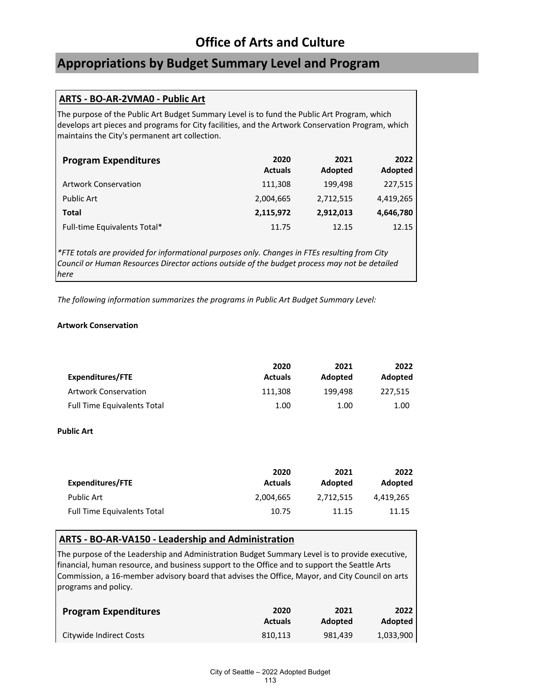# **Appropriations by Budget Summary Level and Program**

### **ARTS - BO-AR-2VMA0 - Public Art**

The purpose of the Public Art Budget Summary Level is to fund the Public Art Program, which develops art pieces and programs for City facilities, and the Artwork Conservation Program, which maintains the City's permanent art collection.

| <b>Program Expenditures</b>  | 2020<br><b>Actuals</b> | 2021<br>Adopted | 2022<br>Adopted |
|------------------------------|------------------------|-----------------|-----------------|
| <b>Artwork Conservation</b>  | 111,308                | 199.498         | 227,515         |
| <b>Public Art</b>            | 2,004,665              | 2,712,515       | 4,419,265       |
| Total                        | 2,115,972              | 2,912,013       | 4,646,780       |
| Full-time Equivalents Total* | 11.75                  | 12.15           | 12.15           |

*\*FTE totals are provided for informational purposes only. Changes in FTEs resulting from City Council or Human Resources Director actions outside of the budget process may not be detailed here*

*The following information summarizes the programs in Public Art Budget Summary Level:*

#### **Artwork Conservation**

|                                    | 2020           | 2021    | 2022    |
|------------------------------------|----------------|---------|---------|
| Expenditures/FTE                   | <b>Actuals</b> | Adopted | Adopted |
| <b>Artwork Conservation</b>        | 111.308        | 199.498 | 227.515 |
| <b>Full Time Equivalents Total</b> | 1.00           | 1.00    | 1.00    |

#### **Public Art**

| Expenditures/FTE                   | 2020<br><b>Actuals</b> | 2021<br>Adopted | 2022<br>Adopted |
|------------------------------------|------------------------|-----------------|-----------------|
| <b>Public Art</b>                  | 2.004.665              | 2.712.515       | 4.419.265       |
| <b>Full Time Equivalents Total</b> | 10.75                  | 11.15           | 11.15           |

#### **ARTS - BO-AR-VA150 - Leadership and Administration**

The purpose of the Leadership and Administration Budget Summary Level is to provide executive, financial, human resource, and business support to the Office and to support the Seattle Arts Commission, a 16-member advisory board that advises the Office, Mayor, and City Council on arts programs and policy.

| <b>Program Expenditures</b> | 2020           | 2021    | 2022      |
|-----------------------------|----------------|---------|-----------|
|                             | <b>Actuals</b> | Adopted | Adopted   |
| Citywide Indirect Costs     | 810.113        | 981.439 | 1,033,900 |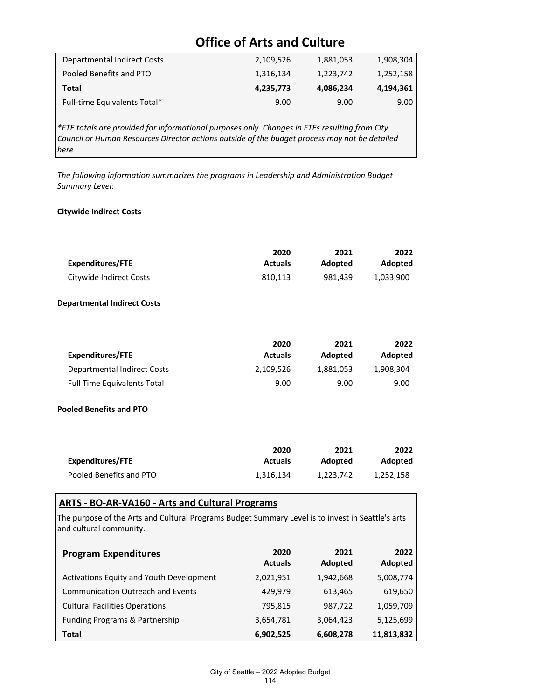| Departmental Indirect Costs  | 2,109,526 | 1,881,053 | 1,908,304 |
|------------------------------|-----------|-----------|-----------|
| Pooled Benefits and PTO      | 1,316,134 | 1,223,742 | 1,252,158 |
| Total                        | 4,235,773 | 4,086,234 | 4,194,361 |
| Full-time Equivalents Total* | 9.00      | 9.00      | 9.00      |

*\*FTE totals are provided for informational purposes only. Changes in FTEs resulting from City Council or Human Resources Director actions outside of the budget process may not be detailed here*

*The following information summarizes the programs in Leadership and Administration Budget Summary Level:*

#### **Citywide Indirect Costs**

|                         | 2020           | 2021    | 2022      |
|-------------------------|----------------|---------|-----------|
| Expenditures/FTE        | <b>Actuals</b> | Adopted | Adopted   |
| Citywide Indirect Costs | 810.113        | 981.439 | 1.033.900 |

#### **Departmental Indirect Costs**

|                                    | 2020           | 2021      | 2022      |
|------------------------------------|----------------|-----------|-----------|
| Expenditures/FTE                   | <b>Actuals</b> | Adopted   | Adopted   |
| Departmental Indirect Costs        | 2.109.526      | 1.881.053 | 1.908.304 |
| <b>Full Time Equivalents Total</b> | 9.00           | 9.00      | 9.00      |

#### **Pooled Benefits and PTO**

|                         | 2020           | 2021      | 2022      |
|-------------------------|----------------|-----------|-----------|
| Expenditures/FTE        | <b>Actuals</b> | Adopted   | Adopted   |
| Pooled Benefits and PTO | 1.316.134      | 1,223,742 | 1.252.158 |

### **ARTS - BO-AR-VA160 - Arts and Cultural Programs**

The purpose of the Arts and Cultural Programs Budget Summary Level is to invest in Seattle's arts and cultural community.

| <b>Program Expenditures</b>              | 2020<br><b>Actuals</b> | 2021<br>Adopted | 2022<br>Adopted |
|------------------------------------------|------------------------|-----------------|-----------------|
| Activations Equity and Youth Development | 2,021,951              | 1,942,668       | 5,008,774       |
| <b>Communication Outreach and Events</b> | 429.979                | 613,465         | 619,650         |
| <b>Cultural Facilities Operations</b>    | 795,815                | 987,722         | 1,059,709       |
| Funding Programs & Partnership           | 3,654,781              | 3,064,423       | 5,125,699       |
| Total                                    | 6,902,525              | 6,608,278       | 11,813,832      |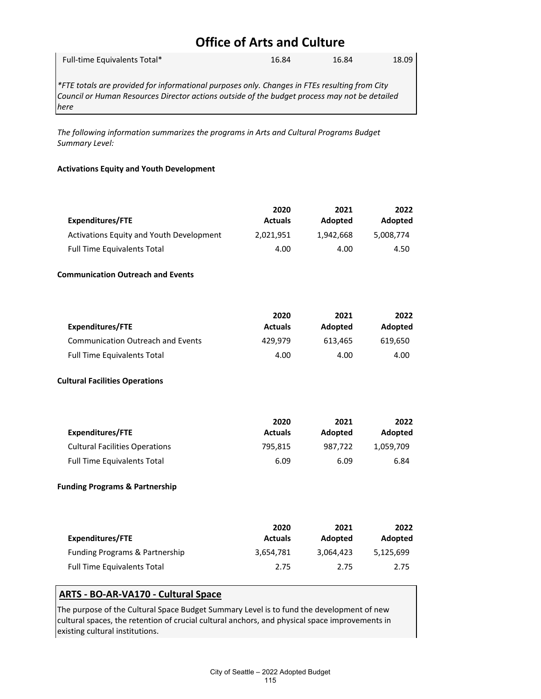| Full-time Equivalents Total* |   |  |              | 16.84 |     | 16.84    |          | 18.09 |
|------------------------------|---|--|--------------|-------|-----|----------|----------|-------|
| $+ - - -$                    | . |  | $\mathbf{r}$ |       | --- | $\cdots$ | $\cdots$ |       |

*\*FTE totals are provided for informational purposes only. Changes in FTEs resulting from City Council or Human Resources Director actions outside of the budget process may not be detailed here*

*The following information summarizes the programs in Arts and Cultural Programs Budget Summary Level:*

#### **Activations Equity and Youth Development**

|                                          | 2020           | 2021      | 2022      |
|------------------------------------------|----------------|-----------|-----------|
| Expenditures/FTE                         | <b>Actuals</b> | Adopted   | Adopted   |
| Activations Equity and Youth Development | 2.021.951      | 1,942,668 | 5,008,774 |
| <b>Full Time Equivalents Total</b>       | 4.00           | 4.00      | 4.50      |

#### **Communication Outreach and Events**

| Expenditures/FTE                         | 2020<br><b>Actuals</b> | 2021<br>Adopted | 2022<br>Adopted |
|------------------------------------------|------------------------|-----------------|-----------------|
| <b>Communication Outreach and Events</b> | 429.979                | 613.465         | 619.650         |
| <b>Full Time Equivalents Total</b>       | 4.00                   | 4.00            | 4.00            |

#### **Cultural Facilities Operations**

| Expenditures/FTE                      | 2020<br><b>Actuals</b> | 2021<br>Adopted | 2022<br>Adopted |
|---------------------------------------|------------------------|-----------------|-----------------|
| <b>Cultural Facilities Operations</b> | 795.815                | 987.722         | 1,059,709       |
| <b>Full Time Equivalents Total</b>    | 6.09                   | 6.09            | 6.84            |

#### **Funding Programs & Partnership**

| Expenditures/FTE                          | 2020<br><b>Actuals</b> | 2021<br>Adopted | 2022<br>Adopted |
|-------------------------------------------|------------------------|-----------------|-----------------|
| <b>Funding Programs &amp; Partnership</b> | 3.654.781              | 3.064.423       | 5,125,699       |
| <b>Full Time Equivalents Total</b>        | 2.75                   | 2.75            | 2.75            |

### **ARTS - BO-AR-VA170 - Cultural Space**

The purpose of the Cultural Space Budget Summary Level is to fund the development of new cultural spaces, the retention of crucial cultural anchors, and physical space improvements in existing cultural institutions.